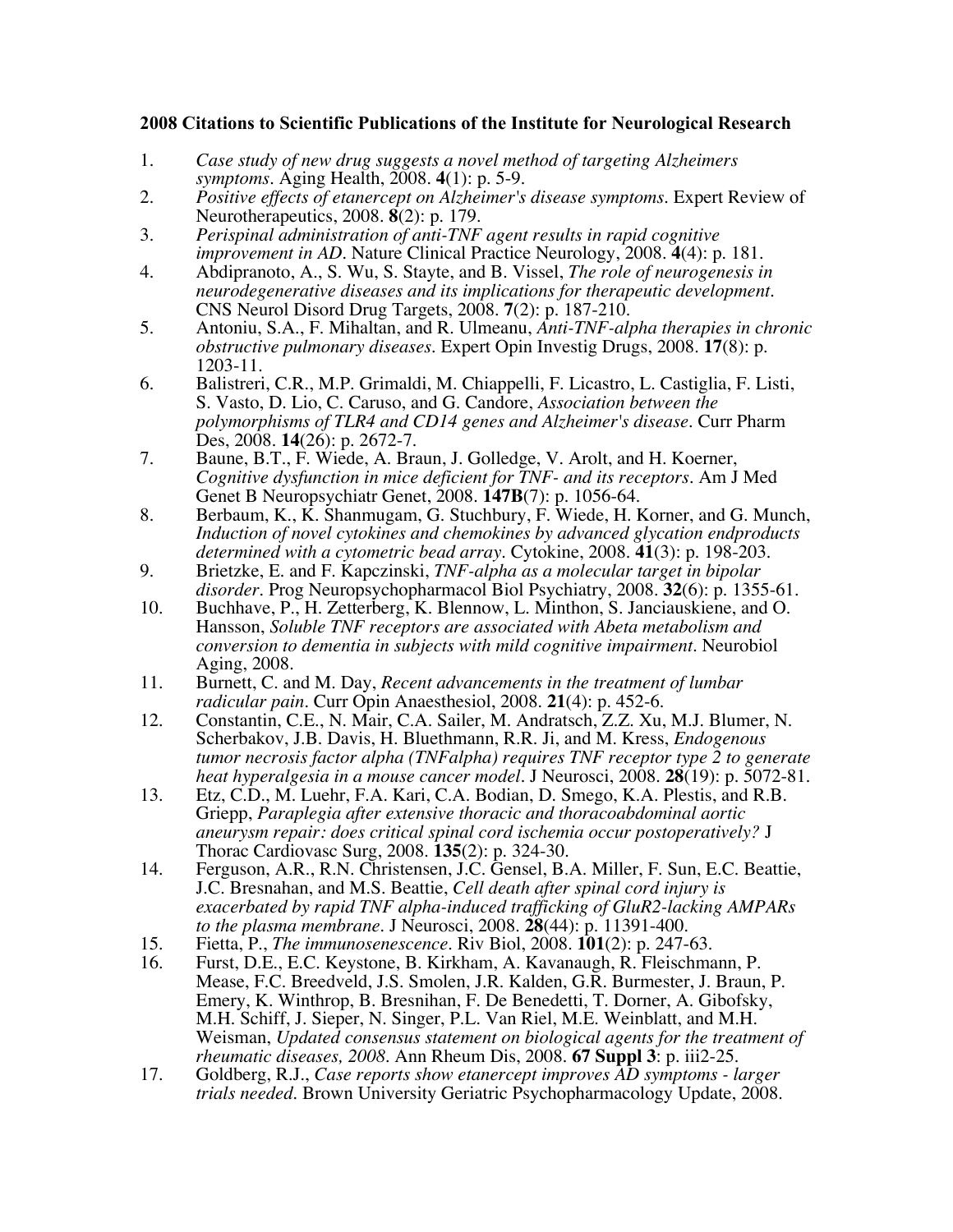## 2008 Citations to Scientific Publications of the Institute for Neurological Research

- 1. *Case study of new drug suggests a novel method of targeting Alzheimers symptoms.* Aging Health, 2008. **4**(1): p. 5-9.
- 2. *Positive effects of etanercept on Alzheimer's disease symptoms.* Expert Review of Neurotherapeutics, 2008. **8**(2): p. 179.
- 3. *Perispinal administration of anti-TNF agent results in rapid cognitive improvement in AD.* Nature Clinical Practice Neurology, 2008. **4**(4): p. 181.
- 4. Abdipranoto, A., S. Wu, S. Stayte, and B. Vissel, *The role of neurogenesis in neurodegenerative diseases and its implications for therapeutic development.* CNS Neurol Disord Drug Targets, 2008. **7**(2): p. 187-210.
- 5. Antoniu, S.A., F. Mihaltan, and R. Ulmeanu, *Anti-TNF-alpha therapies in chronic obstructive pulmonary diseases.* Expert Opin Investig Drugs, 2008. **17**(8): p. 1203-11.
- 6. Balistreri, C.R., M.P. Grimaldi, M. Chiappelli, F. Licastro, L. Castiglia, F. Listi, S. Vasto, D. Lio, C. Caruso, and G. Candore, *Association between the polymorphisms of TLR4 and CD14 genes and Alzheimer's disease.* Curr Pharm Des, 2008. **14**(26): p. 2672-7.
- 7. Baune, B.T., F. Wiede, A. Braun, J. Golledge, V. Arolt, and H. Koerner, *Cognitive dysfunction in mice deficient for TNF- and its receptors.* Am J Med Genet B Neuropsychiatr Genet, 2008. **147B**(7): p. 1056-64.
- 8. Berbaum, K., K. Shanmugam, G. Stuchbury, F. Wiede, H. Korner, and G. Munch, *Induction of novel cytokines and chemokines by advanced glycation endproducts determined with a cytometric bead array.* Cytokine, 2008. **41**(3): p. 198-203.
- 9. Brietzke, E. and F. Kapczinski, *TNF-alpha as a molecular target in bipolar disorder.* Prog Neuropsychopharmacol Biol Psychiatry, 2008. **32**(6): p. 1355-61.
- 10. Buchhave, P., H. Zetterberg, K. Blennow, L. Minthon, S. Janciauskiene, and O. Hansson, *Soluble TNF receptors are associated with Abeta metabolism and conversion to dementia in subjects with mild cognitive impairment.* Neurobiol Aging, 2008.
- 11. Burnett, C. and M. Day, *Recent advancements in the treatment of lumbar radicular pain.* Curr Opin Anaesthesiol, 2008. **21**(4): p. 452-6.
- 12. Constantin, C.E., N. Mair, C.A. Sailer, M. Andratsch, Z.Z. Xu, M.J. Blumer, N. Scherbakov, J.B. Davis, H. Bluethmann, R.R. Ji, and M. Kress, *Endogenous tumor necrosis factor alpha (TNFalpha) requires TNF receptor type 2 to generate heat hyperalgesia in a mouse cancer model.* J Neurosci, 2008. **28**(19): p. 5072-81.
- 13. Etz, C.D., M. Luehr, F.A. Kari, C.A. Bodian, D. Smego, K.A. Plestis, and R.B. Griepp, *Paraplegia after extensive thoracic and thoracoabdominal aortic aneurysm repair: does critical spinal cord ischemia occur postoperatively?* J Thorac Cardiovasc Surg, 2008. **135**(2): p. 324-30.
- 14. Ferguson, A.R., R.N. Christensen, J.C. Gensel, B.A. Miller, F. Sun, E.C. Beattie, J.C. Bresnahan, and M.S. Beattie, *Cell death after spinal cord injury is exacerbated by rapid TNF alpha-induced trafficking of GluR2-lacking AMPARs to the plasma membrane.* J Neurosci, 2008. **28**(44): p. 11391-400.
- 15. Fietta, P., *The immunosenescence.* Riv Biol, 2008. **101**(2): p. 247-63.
- 16. Furst, D.E., E.C. Keystone, B. Kirkham, A. Kavanaugh, R. Fleischmann, P. Mease, F.C. Breedveld, J.S. Smolen, J.R. Kalden, G.R. Burmester, J. Braun, P. Emery, K. Winthrop, B. Bresnihan, F. De Benedetti, T. Dorner, A. Gibofsky, M.H. Schiff, J. Sieper, N. Singer, P.L. Van Riel, M.E. Weinblatt, and M.H. Weisman, *Updated consensus statement on biological agents for the treatment of rheumatic diseases, 2008.* Ann Rheum Dis, 2008. **67 Suppl 3**: p. iii2-25.
- 17. Goldberg, R.J., *Case reports show etanercept improves AD symptoms larger trials needed.* Brown University Geriatric Psychopharmacology Update, 2008.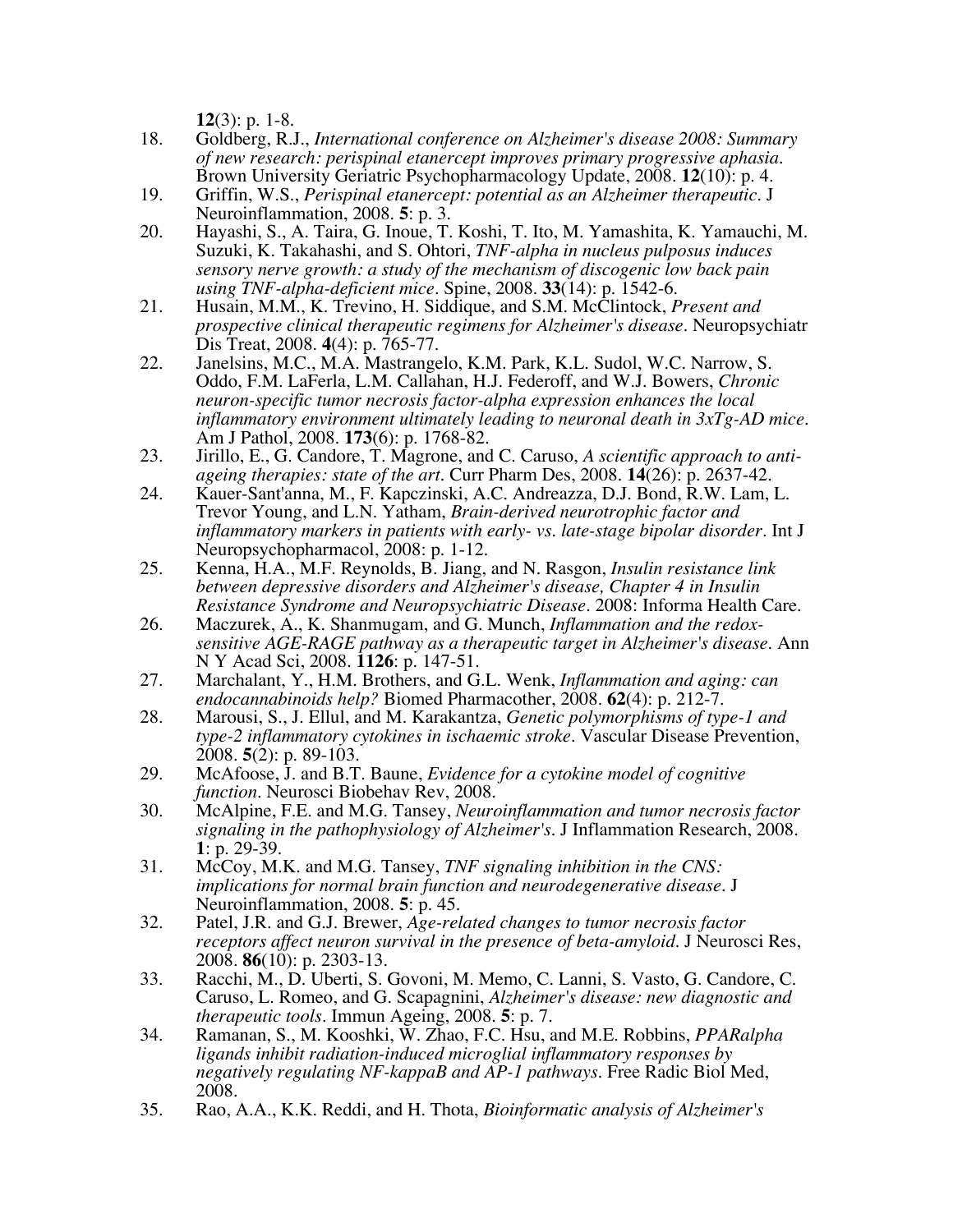**12**(3): p. 1-8.

- 18. Goldberg, R.J., *International conference on Alzheimer's disease 2008: Summary of new research: perispinal etanercept improves primary progressive aphasia.* Brown University Geriatric Psychopharmacology Update, 2008. **12**(10): p. 4.
- 19. Griffin, W.S., *Perispinal etanercept: potential as an Alzheimer therapeutic.* J Neuroinflammation, 2008. **5**: p. 3.
- 20. Hayashi, S., A. Taira, G. Inoue, T. Koshi, T. Ito, M. Yamashita, K. Yamauchi, M. Suzuki, K. Takahashi, and S. Ohtori, *TNF-alpha in nucleus pulposus induces sensory nerve growth: a study of the mechanism of discogenic low back pain using TNF-alpha-deficient mice.* Spine, 2008. **33**(14): p. 1542-6.
- 21. Husain, M.M., K. Trevino, H. Siddique, and S.M. McClintock, *Present and prospective clinical therapeutic regimens for Alzheimer's disease.* Neuropsychiatr Dis Treat, 2008. **4**(4): p. 765-77.
- 22. Janelsins, M.C., M.A. Mastrangelo, K.M. Park, K.L. Sudol, W.C. Narrow, S. Oddo, F.M. LaFerla, L.M. Callahan, H.J. Federoff, and W.J. Bowers, *Chronic neuron-specific tumor necrosis factor-alpha expression enhances the local inflammatory environment ultimately leading to neuronal death in 3xTg-AD mice.* Am J Pathol, 2008. **173**(6): p. 1768-82.
- 23. Jirillo, E., G. Candore, T. Magrone, and C. Caruso, *A scientific approach to antiageing therapies: state of the art.* Curr Pharm Des, 2008. **14**(26): p. 2637-42.
- 24. Kauer-Sant'anna, M., F. Kapczinski, A.C. Andreazza, D.J. Bond, R.W. Lam, L. Trevor Young, and L.N. Yatham, *Brain-derived neurotrophic factor and inflammatory markers in patients with early- vs. late-stage bipolar disorder.* Int J Neuropsychopharmacol, 2008: p. 1-12.
- 25. Kenna, H.A., M.F. Reynolds, B. Jiang, and N. Rasgon, *Insulin resistance link between depressive disorders and Alzheimer's disease, Chapter 4 in Insulin Resistance Syndrome and Neuropsychiatric Disease*. 2008: Informa Health Care.
- 26. Maczurek, A., K. Shanmugam, and G. Munch, *Inflammation and the redoxsensitive AGE-RAGE pathway as a therapeutic target in Alzheimer's disease.* Ann N Y Acad Sci, 2008. **1126**: p. 147-51.
- 27. Marchalant, Y., H.M. Brothers, and G.L. Wenk, *Inflammation and aging: can endocannabinoids help?* Biomed Pharmacother, 2008. **62**(4): p. 212-7.
- 28. Marousi, S., J. Ellul, and M. Karakantza, *Genetic polymorphisms of type-1 and type-2 inflammatory cytokines in ischaemic stroke.* Vascular Disease Prevention, 2008. **5**(2): p. 89-103.
- 29. McAfoose, J. and B.T. Baune, *Evidence for a cytokine model of cognitive function.* Neurosci Biobehav Rev, 2008.
- 30. McAlpine, F.E. and M.G. Tansey, *Neuroinflammation and tumor necrosis factor signaling in the pathophysiology of Alzheimer's.* J Inflammation Research, 2008. **1**: p. 29-39.
- 31. McCoy, M.K. and M.G. Tansey, *TNF signaling inhibition in the CNS: implications for normal brain function and neurodegenerative disease.* J Neuroinflammation, 2008. **5**: p. 45.
- 32. Patel, J.R. and G.J. Brewer, *Age-related changes to tumor necrosis factor receptors affect neuron survival in the presence of beta-amyloid.* J Neurosci Res, 2008. **86**(10): p. 2303-13.
- 33. Racchi, M., D. Uberti, S. Govoni, M. Memo, C. Lanni, S. Vasto, G. Candore, C. Caruso, L. Romeo, and G. Scapagnini, *Alzheimer's disease: new diagnostic and therapeutic tools.* Immun Ageing, 2008. **5**: p. 7.
- 34. Ramanan, S., M. Kooshki, W. Zhao, F.C. Hsu, and M.E. Robbins, *PPARalpha ligands inhibit radiation-induced microglial inflammatory responses by negatively regulating NF-kappaB and AP-1 pathways.* Free Radic Biol Med, 2008.
- 35. Rao, A.A., K.K. Reddi, and H. Thota, *Bioinformatic analysis of Alzheimer's*